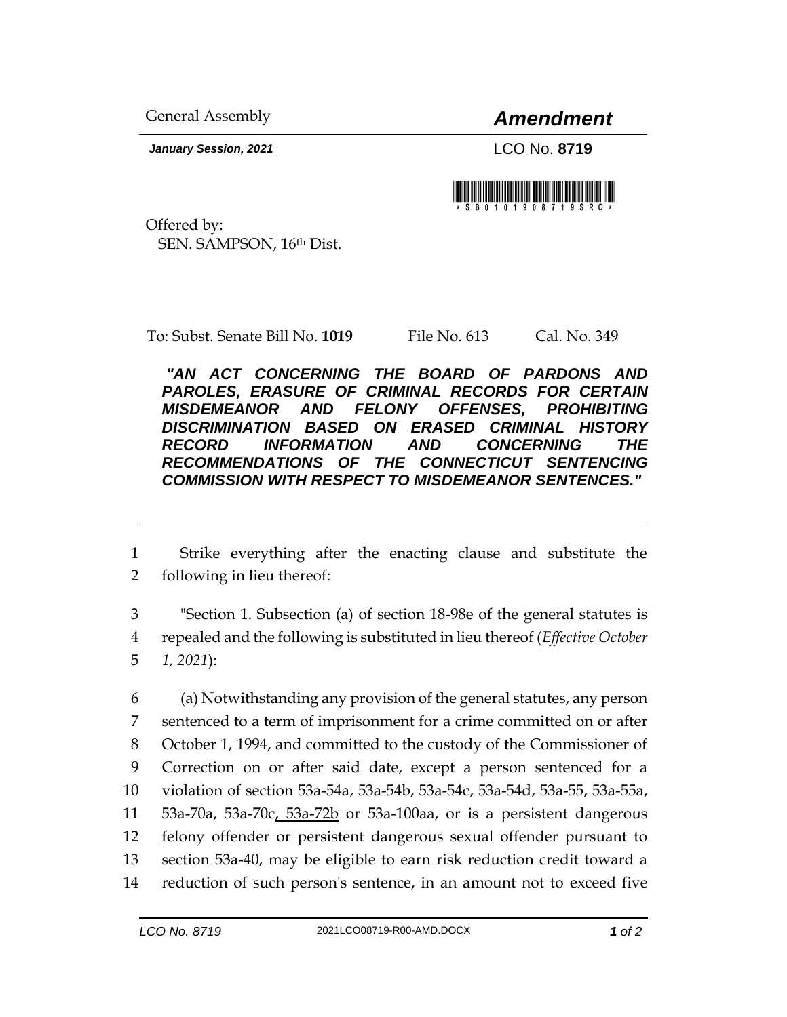General Assembly *Amendment*

*January Session, 2021* LCO No. **8719**



Offered by: SEN. SAMPSON, 16th Dist.

To: Subst. Senate Bill No. **1019** File No. 613 Cal. No. 349

*"AN ACT CONCERNING THE BOARD OF PARDONS AND PAROLES, ERASURE OF CRIMINAL RECORDS FOR CERTAIN MISDEMEANOR AND FELONY OFFENSES, PROHIBITING DISCRIMINATION BASED ON ERASED CRIMINAL HISTORY RECORD INFORMATION AND CONCERNING THE RECOMMENDATIONS OF THE CONNECTICUT SENTENCING COMMISSION WITH RESPECT TO MISDEMEANOR SENTENCES."* 

1 Strike everything after the enacting clause and substitute the 2 following in lieu thereof:

3 "Section 1. Subsection (a) of section 18-98e of the general statutes is 4 repealed and the following is substituted in lieu thereof (*Effective October*  5 *1, 2021*):

 (a) Notwithstanding any provision of the general statutes, any person sentenced to a term of imprisonment for a crime committed on or after October 1, 1994, and committed to the custody of the Commissioner of Correction on or after said date, except a person sentenced for a violation of section 53a-54a, 53a-54b, 53a-54c, 53a-54d, 53a-55, 53a-55a, 53a-70a, 53a-70c, 53a-72b or 53a-100aa, or is a persistent dangerous felony offender or persistent dangerous sexual offender pursuant to section 53a-40, may be eligible to earn risk reduction credit toward a reduction of such person's sentence, in an amount not to exceed five